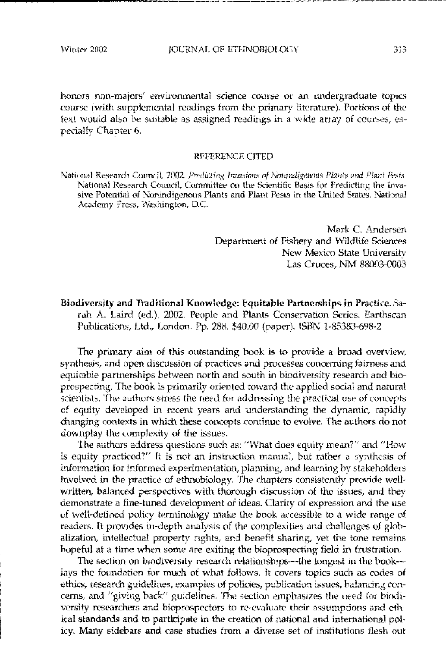honors non-majors' environmental science course or an undergraduate topics course (with supplemental readings from the primary literature). Portions of the text would also be suitable as assigned readings in a wide array of courses, especially Chapter 6.

## REFERENCE CITED

National Research Council, 2002. Predicting Invasions of Nonindigenous Plants and Plant Pests. National Research Council. Committee on the Scientific Basis for Predicting the Invasive Potential of Nonindigenous Plants and Plant Pests in the United States. National Academy Press, Washington, D.C.

> Mark C. Andersen Department of Fishery and Wildlife Sciences New Mexico State University Las Cruces. NM 88003-0003

Biodiversity and Traditional Knowledge: Equitable Partnerships in Practice. Sarah A. Laird (ed.), 2002. People and Plants Conservation Series. Earthscan Publications, Ltd., London. Pp. 288. \$40.00 (paper). ISBN 1-85383-698-2

The primary aim of this outstanding book is to provide a broad overview. synthesis, and open discussion of practices and processes concerning fairness and equitable partnerships between north and south in biodiversity research and bioprospecting. The book is primarily oriented toward the applied social and natural scientists. The authors stress the need for addressing the practical use of concepts of equity developed in recent years and understanding the dynamic, rapidly changing contexts in which these concepts continue to evolve. The authors do not downplay the complexity of the issues.

The authors address questions such as: "What does equity mean?" and "How is equity practiced?" It is not an instruction manual, but rather a synthesis of information for informed experimentation, planning, and learning by stakeholders involved in the practice of ethnobiology. The chapters consistently provide wellwritten, balanced perspectives with thorough discussion of the issues, and they demonstrate a fine-tuned development of ideas. Clarity of expression and the use of well-defined policy terminology make the book accessible to a wide range of readers. It provides in-depth analysis of the complexities and challenges of globalization, intellectual property rights, and benefit sharing, yet the tone remains hopeful at a time when some are exiting the bioprospecting field in frustration.

The section on biodiversity research relationships--the longest in the book-lays the foundation for much of what follows. It covers topics such as codes of ethics, research guidelines, examples of policies, publication issues, balancing concerns, and "giving back" guidelines. The section emphasizes the need for biodiversity researchers and bioprospectors to re-evaluate their assumptions and ethical standards and to participate in the creation of national and international policy. Many sidebars and case studies from a diverse set of institutions flesh out